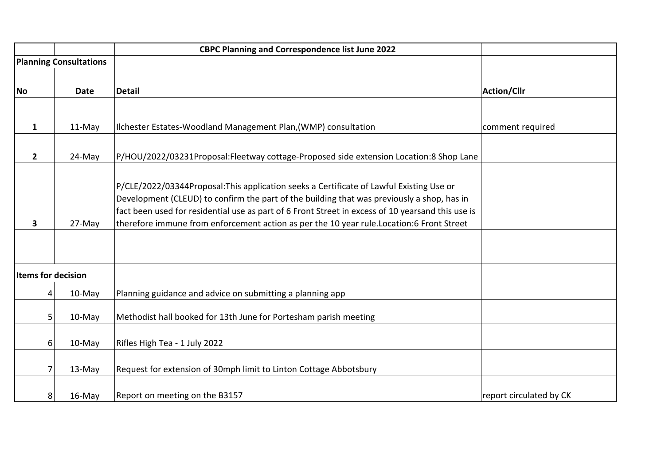|                               |             | <b>CBPC Planning and Correspondence list June 2022</b>                                                                                                                                                                                                                                                                                                                                   |                         |
|-------------------------------|-------------|------------------------------------------------------------------------------------------------------------------------------------------------------------------------------------------------------------------------------------------------------------------------------------------------------------------------------------------------------------------------------------------|-------------------------|
| <b>Planning Consultations</b> |             |                                                                                                                                                                                                                                                                                                                                                                                          |                         |
| No l                          | <b>Date</b> | <b>Detail</b>                                                                                                                                                                                                                                                                                                                                                                            | Action/Cllr             |
|                               |             |                                                                                                                                                                                                                                                                                                                                                                                          |                         |
| $\mathbf{1}$                  | 11-May      | Ilchester Estates-Woodland Management Plan, (WMP) consultation                                                                                                                                                                                                                                                                                                                           | comment required        |
| $\overline{2}$                | 24-May      | P/HOU/2022/03231Proposal:Fleetway cottage-Proposed side extension Location:8 Shop Lane                                                                                                                                                                                                                                                                                                   |                         |
| 3                             | 27-May      | P/CLE/2022/03344Proposal: This application seeks a Certificate of Lawful Existing Use or<br>Development (CLEUD) to confirm the part of the building that was previously a shop, has in<br>fact been used for residential use as part of 6 Front Street in excess of 10 yearsand this use is<br>therefore immune from enforcement action as per the 10 year rule. Location:6 Front Street |                         |
|                               |             |                                                                                                                                                                                                                                                                                                                                                                                          |                         |
| <b>Items for decision</b>     |             |                                                                                                                                                                                                                                                                                                                                                                                          |                         |
| 4                             | 10-May      | Planning guidance and advice on submitting a planning app                                                                                                                                                                                                                                                                                                                                |                         |
| 5                             | 10-May      | Methodist hall booked for 13th June for Portesham parish meeting                                                                                                                                                                                                                                                                                                                         |                         |
| 6                             | $10$ -May   | Rifles High Tea - 1 July 2022                                                                                                                                                                                                                                                                                                                                                            |                         |
| 7                             | 13-May      | Request for extension of 30mph limit to Linton Cottage Abbotsbury                                                                                                                                                                                                                                                                                                                        |                         |
| 8                             | $16$ -May   | Report on meeting on the B3157                                                                                                                                                                                                                                                                                                                                                           | report circulated by CK |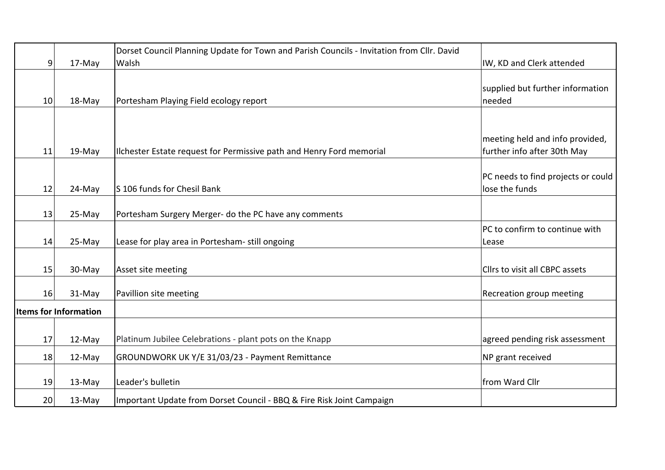|                              |          | Dorset Council Planning Update for Town and Parish Councils - Invitation from Cllr. David |                                                                |
|------------------------------|----------|-------------------------------------------------------------------------------------------|----------------------------------------------------------------|
| 9                            | 17-May   | Walsh                                                                                     | IW, KD and Clerk attended                                      |
| 10                           | 18-May   | Portesham Playing Field ecology report                                                    | supplied but further information<br>needed                     |
| 11                           | 19-May   | Ilchester Estate request for Permissive path and Henry Ford memorial                      | meeting held and info provided,<br>further info after 30th May |
| 12                           | 24-May   | S 106 funds for Chesil Bank                                                               | PC needs to find projects or could<br>lose the funds           |
| 13                           | 25-May   | Portesham Surgery Merger- do the PC have any comments                                     |                                                                |
| 14                           | $25-May$ | Lease for play area in Portesham- still ongoing                                           | PC to confirm to continue with<br>Lease                        |
| 15                           | 30-May   | Asset site meeting                                                                        | Cllrs to visit all CBPC assets                                 |
| 16                           | 31-May   | Pavillion site meeting                                                                    | Recreation group meeting                                       |
| <b>Items for Information</b> |          |                                                                                           |                                                                |
| 17                           | 12-May   | Platinum Jubilee Celebrations - plant pots on the Knapp                                   | agreed pending risk assessment                                 |
| 18                           | 12-May   | GROUNDWORK UK Y/E 31/03/23 - Payment Remittance                                           | NP grant received                                              |
| 19                           | 13-May   | Leader's bulletin                                                                         | from Ward Cllr                                                 |
| 20                           | 13-May   | Important Update from Dorset Council - BBQ & Fire Risk Joint Campaign                     |                                                                |